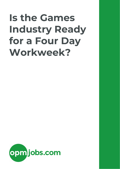# **Is the Games Industry Ready for a Four Day Workweek?**

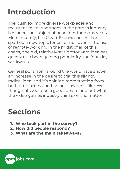# **Introduction**

The push for more diverse workplaces and recurrent talent shortages in the games industry has been the subject of headlines for many years. More recently, the Covid-19 environment has sparked a new topic for us to mull over in the rise of remote-working. In the midst of all of this chaos, one old, relatively straightforward idea has quietly also been gaining popularity: the four-day workweek.

General polls from around the world have shown an increase in the desire to trial this slightly radical idea, and it's gaining more traction from both employees and business owners alike. We thought it would be a good idea to find out what the video games industry thinks on the matter.

## **Sections**

- **1. Who took part in the survey?**
- **2. How did people respond?**
- **3. What are the main takeaways?**

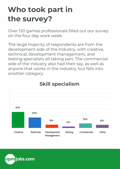# **Who took part in the survey?**

Over 120 games professionals filled out our survey on the four day work week.

The large majority of respondents are from the development side of the industry, with creative, technical, development management, and testing specialists all taking part. The commercial side of the industry also had their say, as well as anyone that works in the industry, but falls into another category.



## **Skill specialism**

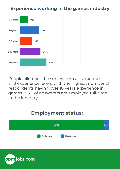### **Experience working in the games industry**



People filled out the survey from all seniorities and experience levels, with the highest number of respondents having over 10 years experience in games. 95% of answerers are employed full-time in the industry.

## **Employment status:**



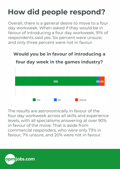# **How did people respond?**

Overall, there is a general desire to move to a four day workweek. When asked if they would be in favour of introducing a four day workweek, 91% of respondents said yes. Six percent were unsure, and only three percent were not in favour.

### Would you be in favour of introducing a



four day week in the games industry?

The results are astronomically in favour of the four day workweek across all skills and experience levels, with all specialisms answering at over 90% in favour of the move. That is aside from commercial responders, who were only 73% in favour, 7% unsure, and 20% were not in favour.

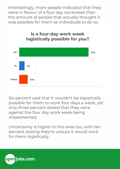Interestingly, more people indicated that they were in favour of a four day workweek than the amount of people that actually thought it was possible for them as individuals to do so.



Six percent said that it wouldn't be logistically possible for them to work four days a week, yet only three percent stated that they were against the four day work week being implemented.

Uncertainty is higher in this area too, with ten percent stating they're unsure it would work for them logistically.

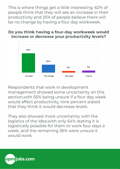This is where things get a little interesting. 62% of people think that they will see an increase in their productivity and 25% of people believe there will be no change by having a four day workweek.

#### Do you think having a four-day workweek would increase or decrease your productivity levels?



Respondents that work in development management showed some uncertainty on this section,with 55% being unsure if a four day week would affect productivity, nine percent stated that they think it would decrease levels.

They also showed more uncertainty with the logistics of the idea,with only 64% stating it is logistically possible for them to work four days a week, and the remaining 36% were unsure it would work.

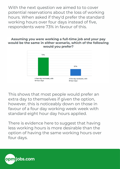With the next question we aimed to to cover potential reservations about the loss of working hours. When asked if they'd prefer the standard working hours over four days instead of five, respondents were 73% in favour of this.

#### Assuming you were working a full-time job and your pay would be the same in either scenario, which of the following would you prefer?



This shows that most people would prefer an extra day to themselves if given the option, however, this is noticeably down on those in favour of a four day working week week with standard eight hour day hours applied.

There is evidence here to suggest that having less working hours is more desirable than the option of having the same working hours over four days.

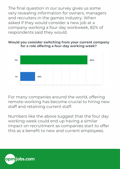The final question in our survey gives us some very revealing information for owners, managers and recruiters in the games industry. When asked if they would consider a new job at a company working a four day workweek, 82% of respondents said they would.

Would you consider switching from your current company for a role offering a four-day working week?



For many companies around the world, offering remote-working has become crucial to hiring new staff and retaining current staff.

Numbers like the above suggest that the four day working week could end up having a similar impact on recruitment as companies start to offer this as a benefit to new and current employees.

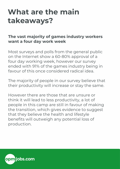## **What are the main takeaways?**

#### **The vast majority of games industry workers want a four day work week**

Most surveys and polls from the general public on the Internet show a 60-80% approval of a four day working week, however our survey ended with 91% of the games industry being in favour of this once considered radical idea.

The majority of people in our survey believe that their productivity will increase or stay the same.

However there are those that are unsure or think it will lead to less productivity, a lot of people in this camp are still in favour of making the transition, which gives evidence to suggest that they believe the health and lifestyle benefits will outweigh any potential loss of production.

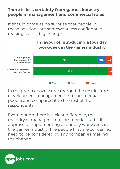#### **There is less certainty from games industry people in management and commercial roles**

It should come as no surprise that people in these positions are somewhat less confident in making such a big change.



In the graph above we've merged the results from development management and commercial people and compared it to the rest of the respondents.

Even though there is a clear difference, the majority of managers and commercial staff still approve of implementing a four day workweek in the games industry. The people that are concerned need to be considered by any companies making the change.

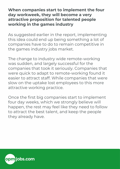#### **When companies start to implement the four day workweek, they will become a very attractive proposition for talented people working in the games industry**

As suggested earlier in the report, implementing this idea could end up being something a lot of companies have to do to remain competitive in the games industry jobs market.

The change to industry wide remote-working was sudden, and largely successful for the companies that took it seriously. Companies that were quick to adapt to remote-working found it easier to attract staff. While companies that were slow on the uptake lost employees to this more attractive working practice.

Once the first big companies start to implement four day weeks, which we strongly believe will happen, the rest may feel like they need to follow to attract the best talent, and keep the people they already have.